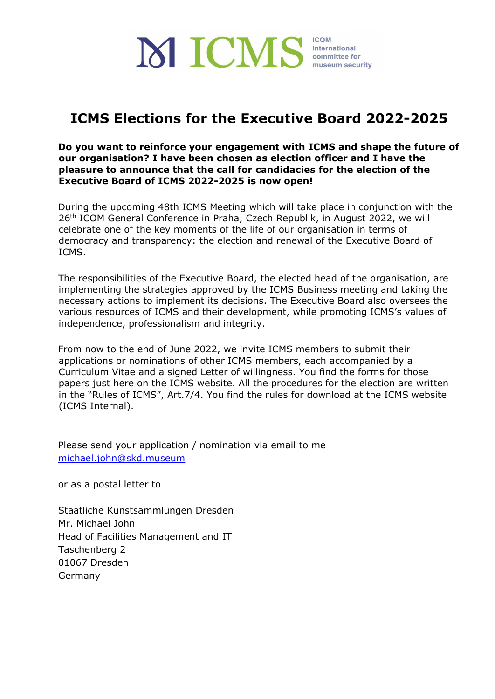

# **ICMS Elections for the Executive Board 2022-2025**

**Do you want to reinforce your engagement with ICMS and shape the future of our organisation? I have been chosen as election officer and I have the pleasure to announce that the call for candidacies for the election of the Executive Board of ICMS 2022-2025 is now open!**

During the upcoming 48th ICMS Meeting which will take place in conjunction with the 26<sup>th</sup> ICOM General Conference in Praha, Czech Republik, in August 2022, we will celebrate one of the key moments of the life of our organisation in terms of democracy and transparency: the election and renewal of the Executive Board of ICMS.

The responsibilities of the Executive Board, the elected head of the organisation, are implementing the strategies approved by the ICMS Business meeting and taking the necessary actions to implement its decisions. The Executive Board also oversees the various resources of ICMS and their development, while promoting ICMS's values of independence, professionalism and integrity.

From now to the end of June 2022, we invite ICMS members to submit their applications or nominations of other ICMS members, each accompanied by a Curriculum Vitae and a signed Letter of willingness. You find the forms for those papers just here on the ICMS website. All the procedures for the election are written in the "Rules of ICMS", Art.7/4. You find the rules for download at the ICMS website (ICMS Internal).

Please send your application / nomination via email to me michael.john@skd.museum

or as a postal letter to

Staatliche Kunstsammlungen Dresden Mr. Michael John Head of Facilities Management and IT Taschenberg 2 01067 Dresden Germany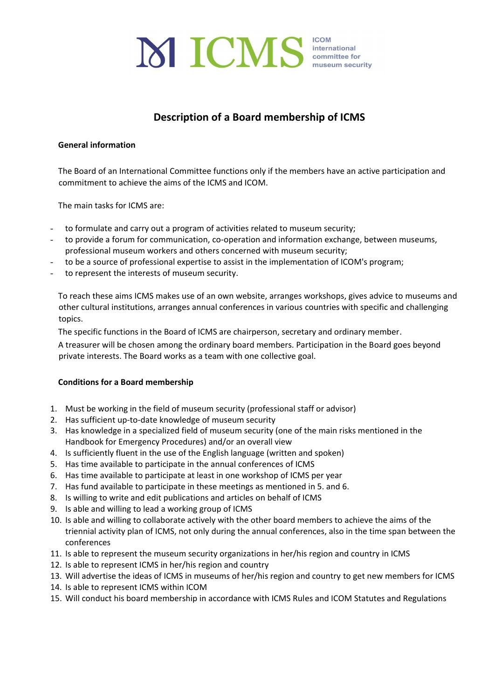

## **Description of a Board membership of ICMS**

#### **General information**

The Board of an International Committee functions only if the members have an active participation and commitment to achieve the aims of the ICMS and ICOM.

The main tasks for ICMS are:

- to formulate and carry out a program of activities related to museum security;
- to provide a forum for communication, co-operation and information exchange, between museums, professional museum workers and others concerned with museum security;
- to be a source of professional expertise to assist in the implementation of ICOM's program;
- to represent the interests of museum security.

To reach these aims ICMS makes use of an own website, arranges workshops, gives advice to museums and other cultural institutions, arranges annual conferences in various countries with specific and challenging topics.

The specific functions in the Board of ICMS are chairperson, secretary and ordinary member.

A treasurer will be chosen among the ordinary board members. Participation in the Board goes beyond private interests. The Board works as a team with one collective goal.

#### **Conditions for a Board membership**

- 1. Must be working in the field of museum security (professional staff or advisor)
- 2. Has sufficient up-to-date knowledge of museum security
- 3. Has knowledge in a specialized field of museum security (one of the main risks mentioned in the Handbook for Emergency Procedures) and/or an overall view
- 4. Is sufficiently fluent in the use of the English language (written and spoken)
- 5. Has time available to participate in the annual conferences of ICMS
- 6. Has time available to participate at least in one workshop of ICMS per year
- 7. Has fund available to participate in these meetings as mentioned in 5. and 6.
- 8. Is willing to write and edit publications and articles on behalf of ICMS
- 9. Is able and willing to lead a working group of ICMS
- 10. Is able and willing to collaborate actively with the other board members to achieve the aims of the triennial activity plan of ICMS, not only during the annual conferences, also in the time span between the conferences
- 11. Is able to represent the museum security organizations in her/his region and country in ICMS
- 12. Is able to represent ICMS in her/his region and country
- 13. Will advertise the ideas of ICMS in museums of her/his region and country to get new members for ICMS
- 14. Is able to represent ICMS within ICOM
- 15. Will conduct his board membership in accordance with ICMS Rules and ICOM Statutes and Regulations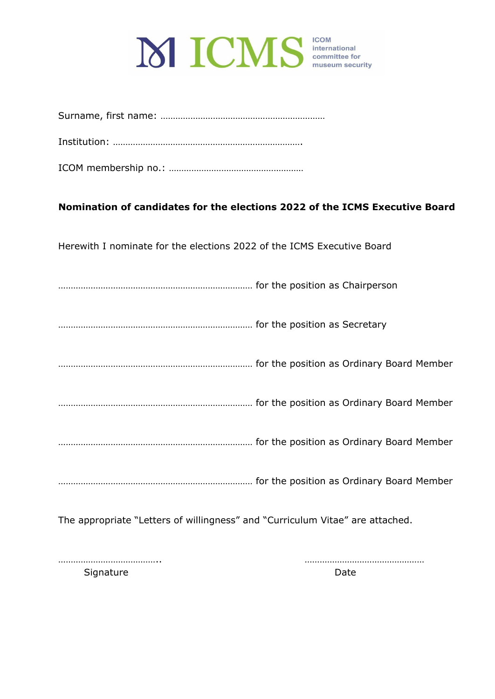

|--|--|

Institution: ………………………………………………………………….

ICOM membership no.: ………………………………………………

### **Nomination of candidates for the elections 2022 of the ICMS Executive Board**

Herewith I nominate for the elections 2022 of the ICMS Executive Board

…………………………………………………………………… for the position as Chairperson

…………………………………………………………………… for the position as Secretary

…………………………………………………………………… for the position as Ordinary Board Member

…………………………………………………………………… for the position as Ordinary Board Member

…………………………………………………………………… for the position as Ordinary Board Member

…………………………………………………………………… for the position as Ordinary Board Member

The appropriate "Letters of willingness" and "Curriculum Vitae" are attached.

………………………………….. …………………………………………

Signature Date Date Date